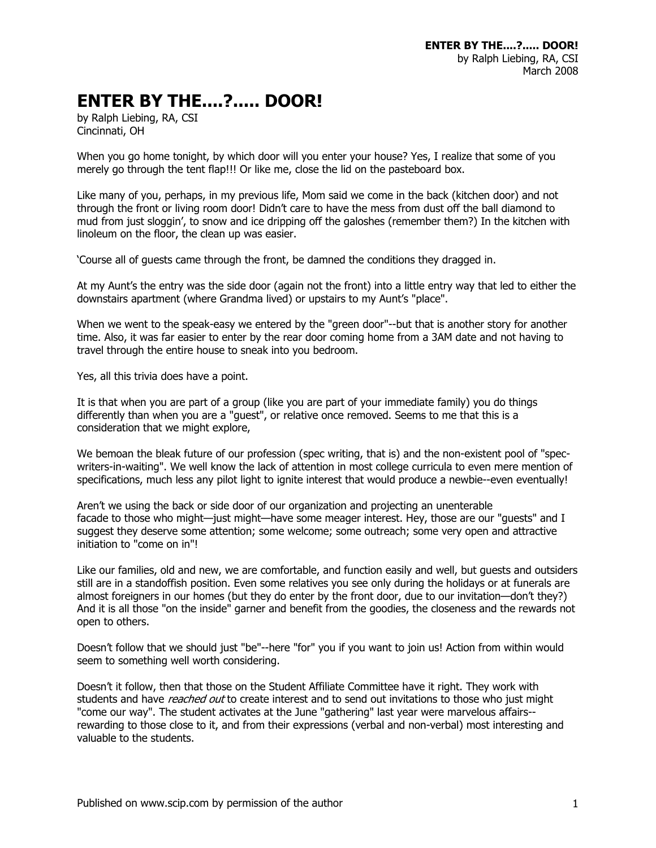## **ENTER BY THE....?..... DOOR!**

by Ralph Liebing, RA, CSI Cincinnati, OH

When you go home tonight, by which door will you enter your house? Yes, I realize that some of you merely go through the tent flap!!! Or like me, close the lid on the pasteboard box.

Like many of you, perhaps, in my previous life, Mom said we come in the back (kitchen door) and not through the front or living room door! Didn't care to have the mess from dust off the ball diamond to mud from just sloggin', to snow and ice dripping off the galoshes (remember them?) In the kitchen with linoleum on the floor, the clean up was easier.

'Course all of guests came through the front, be damned the conditions they dragged in.

At my Aunt's the entry was the side door (again not the front) into a little entry way that led to either the downstairs apartment (where Grandma lived) or upstairs to my Aunt's "place".

When we went to the speak-easy we entered by the "green door"--but that is another story for another time. Also, it was far easier to enter by the rear door coming home from a 3AM date and not having to travel through the entire house to sneak into you bedroom.

Yes, all this trivia does have a point.

It is that when you are part of a group (like you are part of your immediate family) you do things differently than when you are a "guest", or relative once removed. Seems to me that this is a consideration that we might explore,

We bemoan the bleak future of our profession (spec writing, that is) and the non-existent pool of "specwriters-in-waiting". We well know the lack of attention in most college curricula to even mere mention of specifications, much less any pilot light to ignite interest that would produce a newbie--even eventually!

Aren't we using the back or side door of our organization and projecting an unenterable facade to those who might—just might—have some meager interest. Hey, those are our "guests" and I suggest they deserve some attention; some welcome; some outreach; some very open and attractive initiation to "come on in"!

Like our families, old and new, we are comfortable, and function easily and well, but guests and outsiders still are in a standoffish position. Even some relatives you see only during the holidays or at funerals are almost foreigners in our homes (but they do enter by the front door, due to our invitation—don't they?) And it is all those "on the inside" garner and benefit from the goodies, the closeness and the rewards not open to others.

Doesn't follow that we should just "be"--here "for" you if you want to join us! Action from within would seem to something well worth considering.

Doesn't it follow, then that those on the Student Affiliate Committee have it right. They work with students and have *reached out* to create interest and to send out invitations to those who just might "come our way". The student activates at the June "gathering" last year were marvelous affairs- rewarding to those close to it, and from their expressions (verbal and non-verbal) most interesting and valuable to the students.